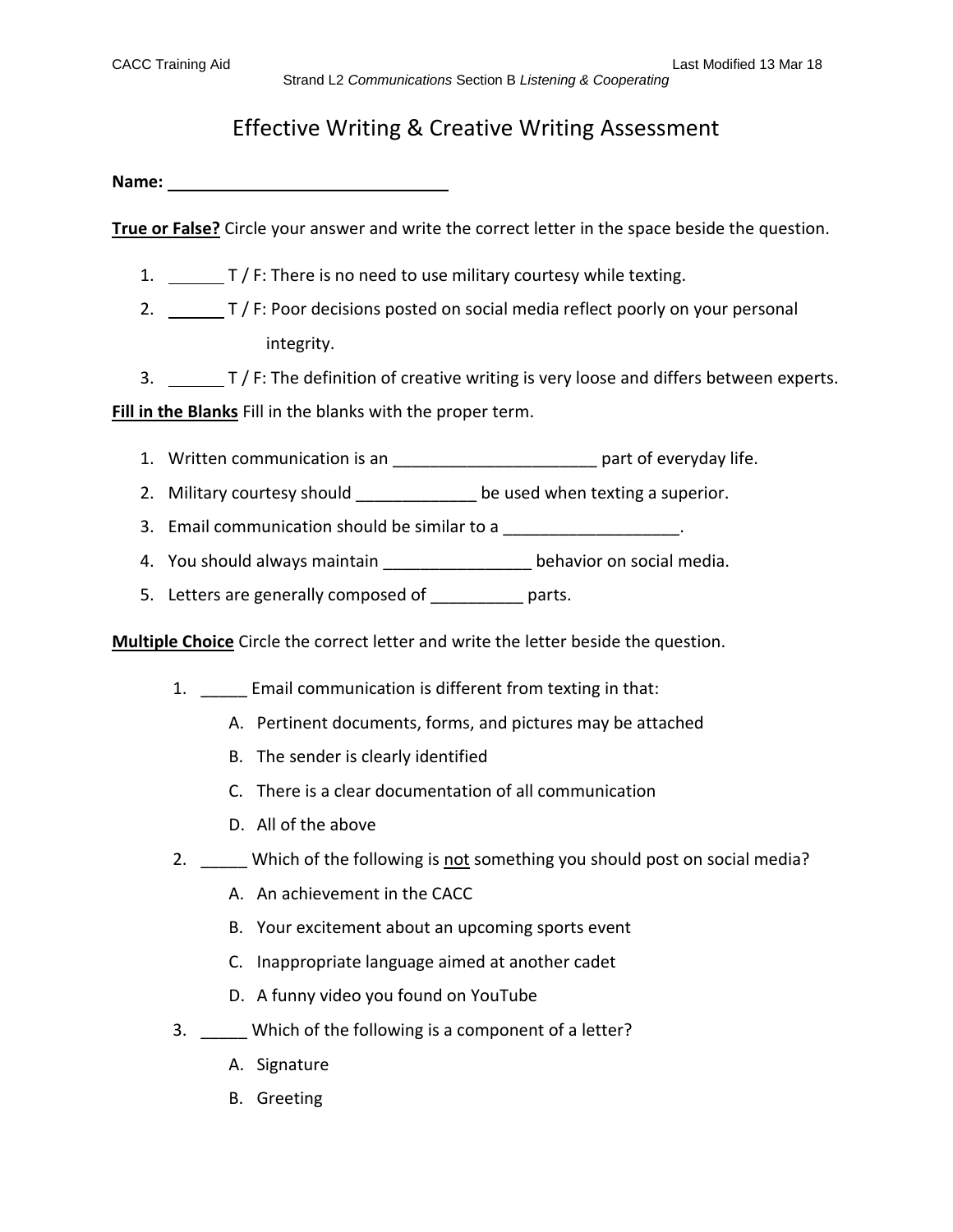## Effective Writing & Creative Writing Assessment

**Name:** 

**True or False?** Circle your answer and write the correct letter in the space beside the question.

- 1. T / F: There is no need to use military courtesy while texting.
- 2. T / F: Poor decisions posted on social media reflect poorly on your personal integrity.
- 3. T / F: The definition of creative writing is very loose and differs between experts.

**Fill in the Blanks** Fill in the blanks with the proper term.

- 1. Written communication is an \_\_\_\_\_\_\_\_\_\_\_\_\_\_\_\_\_\_\_\_\_\_\_\_\_ part of everyday life.
- 2. Military courtesy should \_\_\_\_\_\_\_\_\_\_\_\_\_ be used when texting a superior.
- 3. Email communication should be similar to a \_\_\_\_\_\_\_\_\_\_\_\_\_\_\_\_\_\_\_\_.
- 4. You should always maintain \_\_\_\_\_\_\_\_\_\_\_\_\_\_\_\_ behavior on social media.
- 5. Letters are generally composed of \_\_\_\_\_\_\_\_\_ parts.

**Multiple Choice** Circle the correct letter and write the letter beside the question.

- 1. Email communication is different from texting in that:
	- A. Pertinent documents, forms, and pictures may be attached
	- B. The sender is clearly identified
	- C. There is a clear documentation of all communication
	- D. All of the above
- 2. \_\_\_\_\_ Which of the following is not something you should post on social media?
	- A. An achievement in the CACC
	- B. Your excitement about an upcoming sports event
	- C. Inappropriate language aimed at another cadet
	- D. A funny video you found on YouTube
- 3. \_\_\_\_\_ Which of the following is a component of a letter?
	- A. Signature
	- B. Greeting